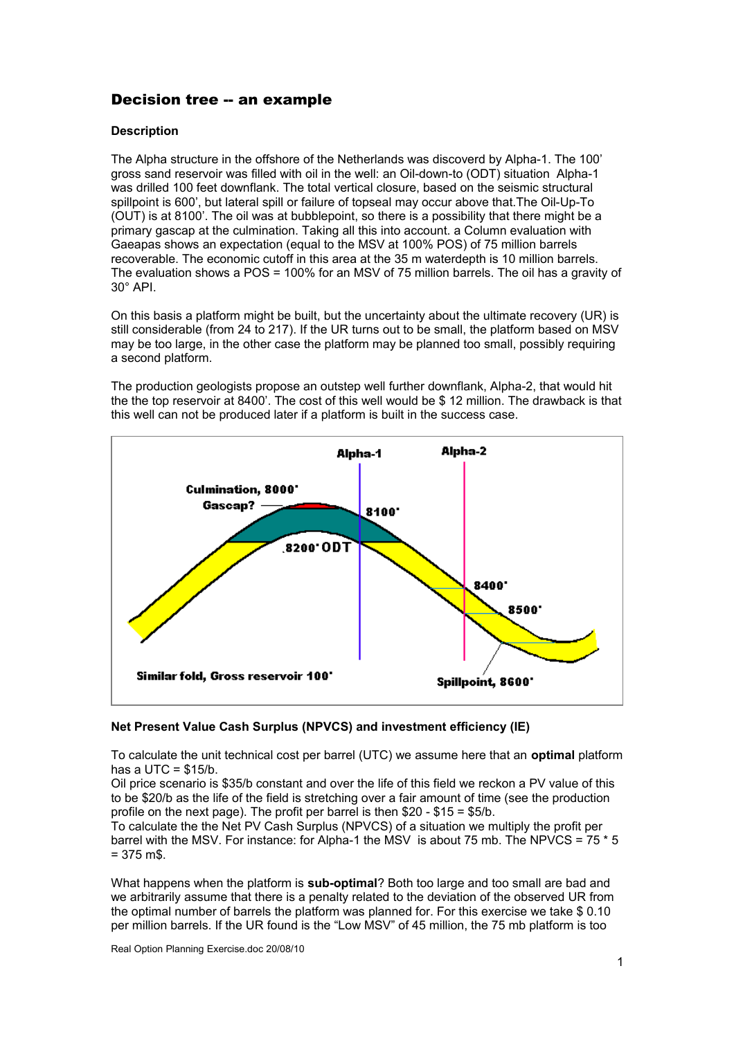## Decision tree -- an example

## **Description**

The Alpha structure in the offshore of the Netherlands was discoverd by Alpha-1. The 100' gross sand reservoir was filled with oil in the well: an Oil-down-to (ODT) situation Alpha-1 was drilled 100 feet downflank. The total vertical closure, based on the seismic structural spillpoint is 600', but lateral spill or failure of topseal may occur above that.The Oil-Up-To (OUT) is at 8100'. The oil was at bubblepoint, so there is a possibility that there might be a primary gascap at the culmination. Taking all this into account. a Column evaluation with Gaeapas shows an expectation (equal to the MSV at 100% POS) of 75 million barrels recoverable. The economic cutoff in this area at the 35 m waterdepth is 10 million barrels. The evaluation shows a POS = 100% for an MSV of 75 million barrels. The oil has a gravity of 30° API.

On this basis a platform might be built, but the uncertainty about the ultimate recovery (UR) is still considerable (from 24 to 217). If the UR turns out to be small, the platform based on MSV may be too large, in the other case the platform may be planned too small, possibly requiring a second platform.

The production geologists propose an outstep well further downflank, Alpha-2, that would hit the the top reservoir at 8400'. The cost of this well would be \$ 12 million. The drawback is that this well can not be produced later if a platform is built in the success case.



## **Net Present Value Cash Surplus (NPVCS) and investment efficiency (IE)**

To calculate the unit technical cost per barrel (UTC) we assume here that an **optimal** platform has a  $UTC = $15/b$ .

Oil price scenario is \$35/b constant and over the life of this field we reckon a PV value of this to be \$20/b as the life of the field is stretching over a fair amount of time (see the production profile on the next page). The profit per barrel is then \$20 - \$15 = \$5/b.

To calculate the the Net PV Cash Surplus (NPVCS) of a situation we multiply the profit per barrel with the MSV. For instance: for Alpha-1 the MSV is about 75 mb. The NPVCS = 75 \* 5  $= 375$  m\$.

What happens when the platform is **sub-optimal**? Both too large and too small are bad and we arbitrarily assume that there is a penalty related to the deviation of the observed UR from the optimal number of barrels the platform was planned for. For this exercise we take \$ 0.10 per million barrels. If the UR found is the "Low MSV" of 45 million, the 75 mb platform is too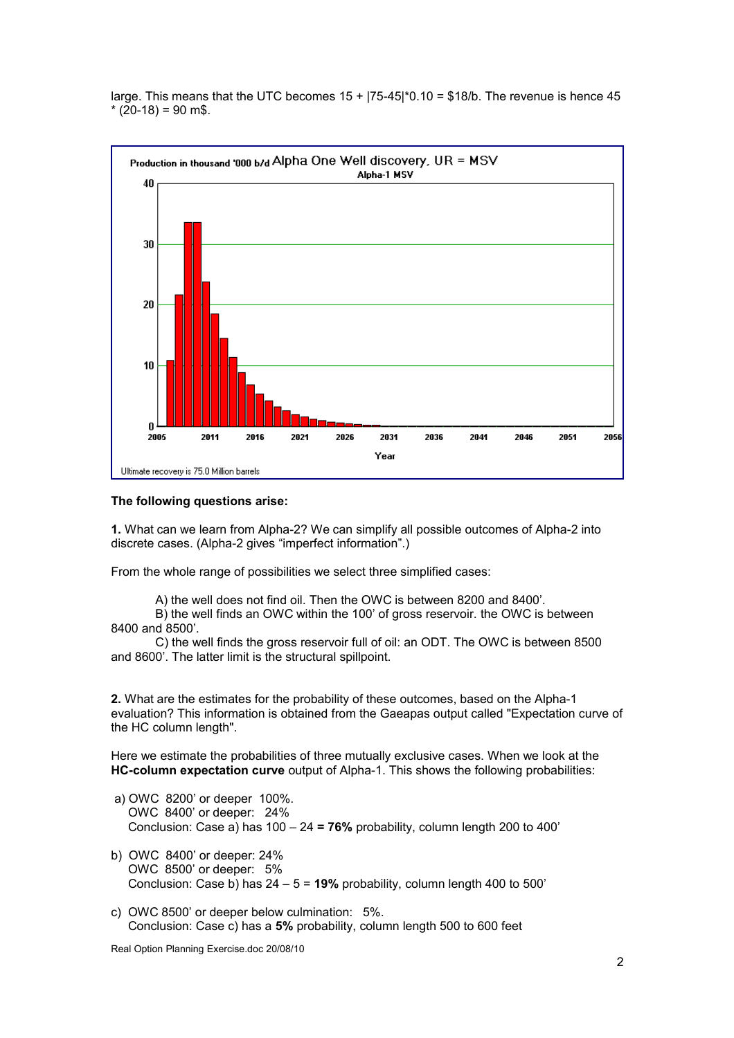large. This means that the UTC becomes  $15 + |75-45|^{*}0.10 = $18/b$ . The revenue is hence 45  $*(20-18) = 90$  m\$.



## **The following questions arise:**

**1.** What can we learn from Alpha-2? We can simplify all possible outcomes of Alpha-2 into discrete cases. (Alpha-2 gives "imperfect information".)

From the whole range of possibilities we select three simplified cases:

A) the well does not find oil. Then the OWC is between 8200 and 8400'.

B) the well finds an OWC within the 100' of gross reservoir. the OWC is between 8400 and 8500'.

C) the well finds the gross reservoir full of oil: an ODT. The OWC is between 8500 and 8600'. The latter limit is the structural spillpoint.

**2.** What are the estimates for the probability of these outcomes, based on the Alpha-1 evaluation? This information is obtained from the Gaeapas output called "Expectation curve of the HC column length".

Here we estimate the probabilities of three mutually exclusive cases. When we look at the **HC-column expectation curve** output of Alpha-1. This shows the following probabilities:

- a) OWC 8200' or deeper 100%. OWC 8400' or deeper: 24% Conclusion: Case a) has 100 – 24 **= 76%** probability, column length 200 to 400'
- b) OWC 8400' or deeper: 24% OWC 8500' or deeper: 5% Conclusion: Case b) has 24 – 5 = **19%** probability, column length 400 to 500'
- c) OWC 8500' or deeper below culmination: 5%. Conclusion: Case c) has a **5%** probability, column length 500 to 600 feet

Real Option Planning Exercise.doc 20/08/10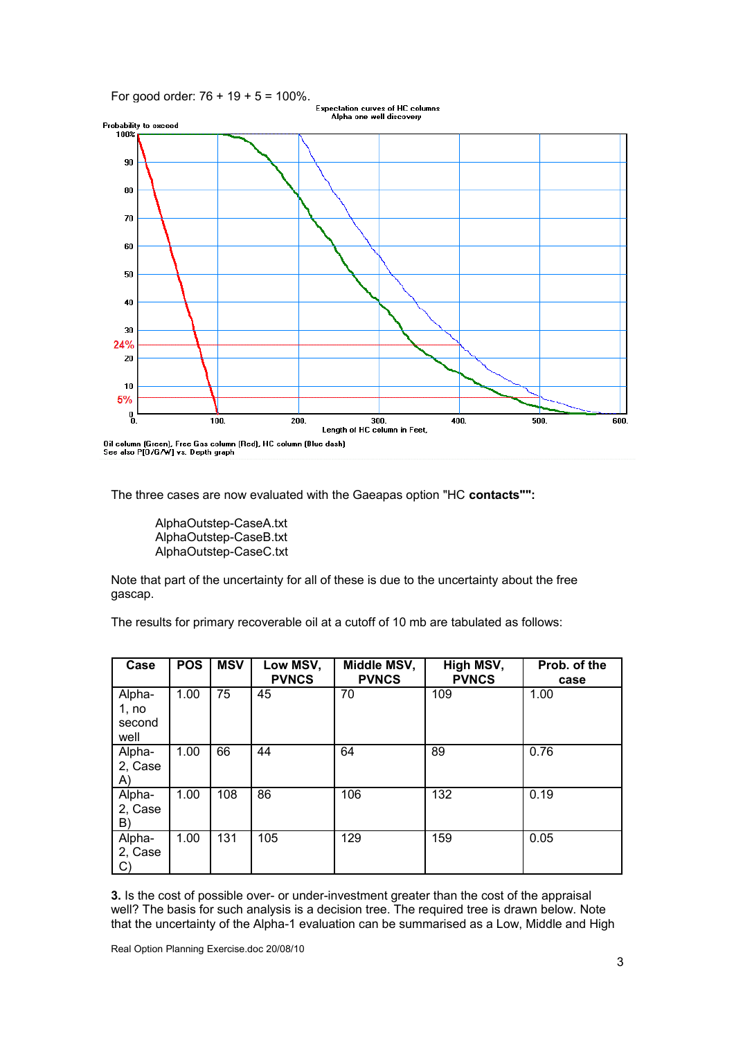

Oil column (Green), Free Gas column (Red), HC column (Blue dash)<br>See also P[O/G/W] vs. Depth graph

The three cases are now evaluated with the Gaeapas option "HC **contacts"":**

AlphaOutstep-CaseA.txt AlphaOutstep-CaseB.txt AlphaOutstep-CaseC.txt

Note that part of the uncertainty for all of these is due to the uncertainty about the free gascap.

The results for primary recoverable oil at a cutoff of 10 mb are tabulated as follows:

| Case                              | <b>POS</b> | <b>MSV</b> | Low MSV,<br><b>PVNCS</b> | Middle MSV,<br><b>PVNCS</b> | High MSV,<br><b>PVNCS</b> | Prob. of the<br>case |
|-----------------------------------|------------|------------|--------------------------|-----------------------------|---------------------------|----------------------|
| Alpha-<br>1, no<br>second<br>well | 1.00       | 75         | 45                       | 70                          | 109                       | 1.00                 |
| Alpha-<br>2, Case<br>A)           | 1.00       | 66         | 44                       | 64                          | 89                        | 0.76                 |
| Alpha-<br>2, Case<br>B)           | 1.00       | 108        | 86                       | 106                         | 132                       | 0.19                 |
| Alpha-<br>2, Case<br>C)           | 1.00       | 131        | 105                      | 129                         | 159                       | 0.05                 |

**3.** Is the cost of possible over- or under-investment greater than the cost of the appraisal well? The basis for such analysis is a decision tree. The required tree is drawn below. Note that the uncertainty of the Alpha-1 evaluation can be summarised as a Low, Middle and High